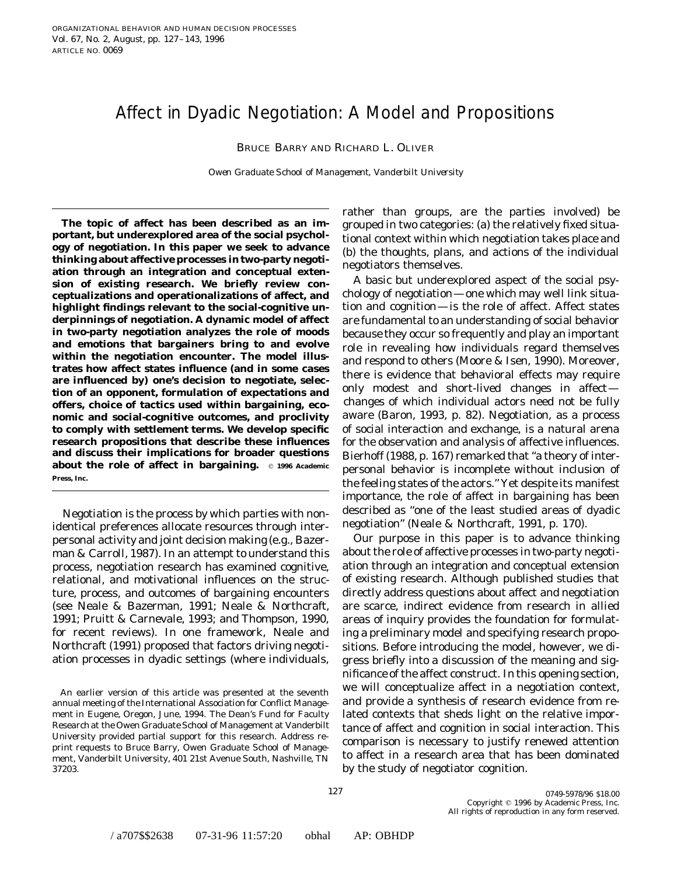# Affect in Dyadic Negotiation: A Model and Propositions

BRUCE BARRY AND RICHARD L. OLIVER

*Owen Graduate School of Management, Vanderbilt University*

The topic of affect has been described as an im-<br>portant, but underexplored area of the social psychol-<br>ogy of negotiation. In this paper we seek to advance<br>thinking about affective processes in two-party negoti-<br>ation thr **ceptualizations and operationalizations of affect, and** chology of negotiation—one which may well link situa**highlight findings relevant to the social-cognitive un-** tion and cognition—is the role of affect. Affect states **derpinnings of negotiation. A dynamic model of affect** are fundamental to an understanding of social behavior in two-party negotiation analyzes the role of moods<br>and emotions that bargainers bring to and evolve<br>within the negotiation encounter. The model illus-<br>trates how affect states influence (and in some cases<br>are influenced b are influenced by) one's decision to negotiate, selections and only modest and short-lived changes in affect—<br>tion of an opponent, formulation of expectations and only modest and short-lived changes in affect **offers, choice of tactics used within bargaining, eco-** changes of which individual actors need not be fully **nomic and social-cognitive outcomes, and proclivity** aware (Baron, 1993, p. 82). Negotiation, as a process **to comply with settlement terms. We develop specific** of social interaction and exchange, is a natural arena **research propositions that describe these influences** for the observation and analysis of affective influences.<br>and discuss their implications for broader questions Bierhoff (1988 n 167) remarked that "a theory of interand discuss their implications for broader questions<br>about the role of affect in bargaining.  $\circ$  1996 Academic<br>personal behavior is incomplete without inclusion of<br>Press, Inc.

identical preferences allocate resources through inter- negotiation" (Neale & Northcraft, 1991, p. 170). personal activity and joint decision making (e.g., Bazer- Our purpose in this paper is to advance thinking man & Carroll, 1987). In an attempt to understand this about the role of affective processes in two-party negotiprocess, negotiation research has examined cognitive, ation through an integration and conceptual extension relational, and motivational influences on the struc- of existing research. Although published studies that ture, process, and outcomes of bargaining encounters directly address questions about affect and negotiation (see Neale & Bazerman, 1991; Neale & Northcraft, are scarce, indirect evidence from research in allied 1991; Pruitt & Carnevale, 1993; and Thompson, 1990, areas of inquiry provides the foundation for formulatfor recent reviews). In one framework, Neale and ing a preliminary model and specifying research propo-Northcraft (1991) proposed that factors driving negoti- sitions. Before introducing the model, however, we diation processes in dyadic settings (where individuals, gress briefly into a discussion of the meaning and sig-

ment, Vanderbilt University, 401 21st Avenue South, Nashville, TN 37203. by the study of negotiator cognition.

rather than groups, are the parties involved) be

the feeling states of the actors." Yet despite its manifest importance, the role of affect in bargaining has been Negotiation is the process by which parties with non- described as ''one of the least studied areas of dyadic

nificance of the affect construct. In this opening section, An earlier version of this article was presented at the seventh we will conceptualize affect in a negotiation context, annual meeting of the International Association for Conflict Manage- and provide a synthesis of research evidence from rement in Eugene, Oregon, June, 1994. The Dean's Fund for Faculty lated contexts that sheds light on the relative impor-Research at the Owen Graduate School of Management at Vanderbilt<br>University provided partial support for this research. Address reprint requests to Bruce Barry, Owen Graduate School of Management School of Management Vande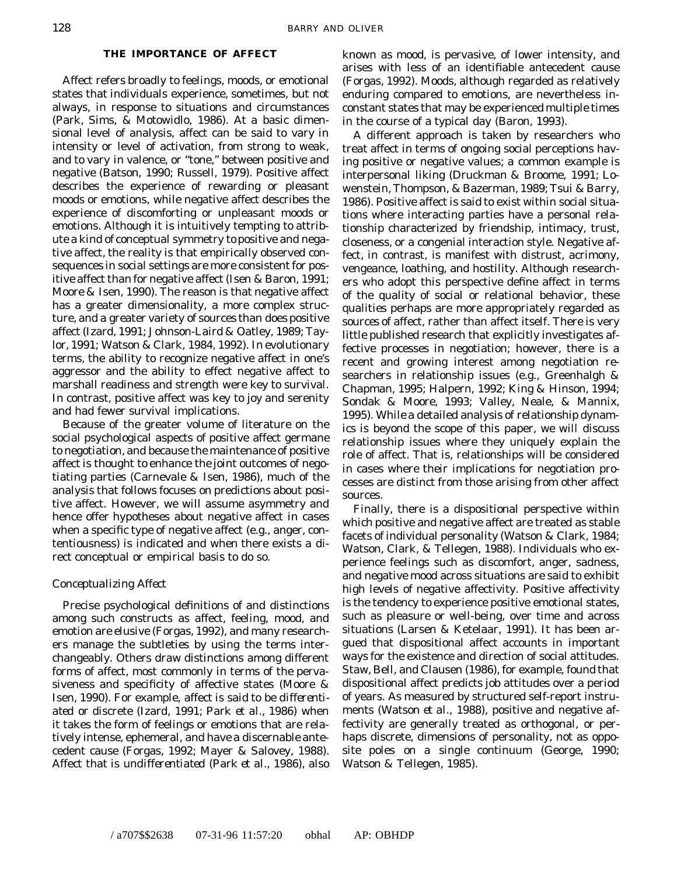states that individuals experience, sometimes, but not enduring compared to emotions, are nevertheless inalways, in response to situations and circumstances constant states that may be experienced multiple times (Park, Sims, & Motowidlo, 1986). At a basic dimen- in the course of a typical day (Baron, 1993). sional level of analysis, affect can be said to vary in A different approach is taken by researchers who intensity or level of activation, from strong to weak, treat affect in terms of ongoing social perceptions hav-<br>and to vary in valence, or "tone," between positive and ing positive or negative values: a common example is negative (Batson, 1990; Russell, 1979). Positive affect interpersonal liking (Druckman & Broome, 1991; Lo-<br>describes the experience of rewarding or pleasant wenstein Thompson & Bazerman 1989 Tsui & Barry moods or emotions, while negative affect describes the 1986). Positive affect is said to exist within social situa-<br>experience of discomforting or unpleasant moods or tions where interacting parties have a personal relaemotions. Although it is intuitively tempting to attrib-<br>tionship characterized by friendship, intimacy, trust,

among such constructs as affect, feeling, mood, and Affect that is *undifferentiated* (Park *et al.,* 1986), also Watson & Tellegen, 1985).

**THE IMPORTANCE OF AFFECT** known as mood, is pervasive, of lower intensity, and arises with less of an identifiable antecedent cause Affect refers broadly to feelings, moods, or emotional (Forgas, 1992). Moods, although regarded as relatively

ing positive or negative values; a common example is wenstein, Thompson, & Bazerman, 1989; Tsui & Barry, tions where interacting parties have a personal relaute a kind of conceptual symmetry to positive and nega-<br>
tive achees, or a congenial interaction style. Negative af-<br>
tive affect, the reality is that empirically observed con-<br>
fect, in contrast, is manifest with distrus

tive affect. However, we will assume asymmetry and<br>hence offer hypotheses about negative affect in cases<br>when a specific type of negative affect (e.g., anger, con-<br>tentiousness) is indicated and when there exists a di-<br>rec and negative mood across situations are said to exhibit *Conceptualizing Affect* high levels of negative affectivity. Positive affectivity Precise psychological definitions of and distinctions is the tendency to experience positive emotional states,<br>nong such constructs as affect, feeling, mood, and such as pleasure or well-being, over time and across emotion are elusive (Forgas, 1992), and many research- situations (Larsen & Ketelaar, 1991). It has been arers manage the subtleties by using the terms inter- gued that dispositional affect accounts in important changeably. Others draw distinctions among different ways for the existence and direction of social attitudes. forms of affect, most commonly in terms of the perva- Staw, Bell, and Clausen (1986), for example, found that siveness and specificity of affective states (Moore & dispositional affect predicts job attitudes over a period Isen, 1990). For example, affect is said to be *differenti-* of years. As measured by structured self-report instru*ated* or discrete (Izard, 1991; Park *et al.,* 1986) when ments (Watson *et al.,* 1988), positive and negative afit takes the form of feelings or emotions that are rela- fectivity are generally treated as orthogonal, or pertively intense, ephemeral, and have a discernable ante- haps discrete, dimensions of personality, not as oppocedent cause (Forgas, 1992; Mayer & Salovey, 1988). site poles on a single continuum (George, 1990;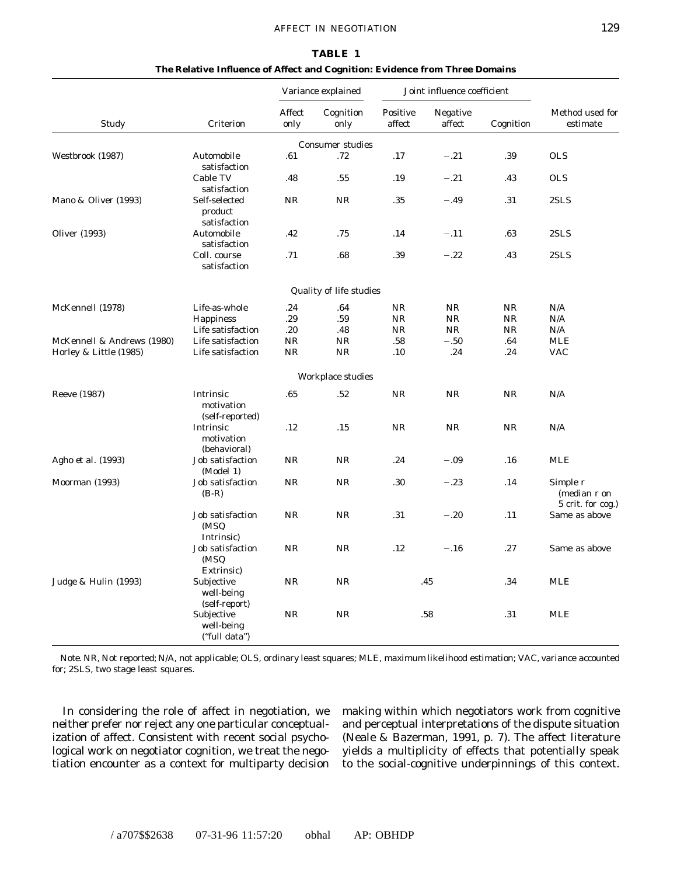# AFFECT IN NEGOTIATION 129

## **TABLE 1**

### **The Relative Influence of Affect and Cognition: Evidence from Three Domains**

|                            | Criterion                                  | Variance explained |                         | Joint influence coefficient |                    |           |                                                          |
|----------------------------|--------------------------------------------|--------------------|-------------------------|-----------------------------|--------------------|-----------|----------------------------------------------------------|
| Study                      |                                            | Affect<br>only     | Cognition<br>only       | Positive<br>affect          | Negative<br>affect | Cognition | Method used for<br>estimate                              |
|                            |                                            |                    | Consumer studies        |                             |                    |           |                                                          |
| Westbrook (1987)           | Automobile<br>satisfaction                 | .61                | .72                     | .17                         | $-.21$             | .39       | <b>OLS</b>                                               |
|                            | Cable TV<br>satisfaction                   | .48                | .55                     | .19                         | $-.21$             | .43       | <b>OLS</b>                                               |
| Mano & Oliver (1993)       | Self-selected<br>product<br>satisfaction   | NR                 | NR                      | .35                         | $-.49$             | .31       | 2SLS                                                     |
| Oliver (1993)              | Automobile<br>satisfaction                 | .42                | .75                     | .14                         | $-.11$             | .63       | 2SLS                                                     |
|                            | Coll. course<br>satisfaction               | .71                | .68                     | .39                         | $-.22$             | .43       | 2SLS                                                     |
|                            |                                            |                    | Quality of life studies |                             |                    |           |                                                          |
| McKennell (1978)           | Life-as-whole                              | .24                | .64                     | NR                          | NR                 | NR        | N/A                                                      |
|                            | Happiness                                  | .29                | .59                     | NR                          | $\rm NR$           | NR        | N/A                                                      |
|                            | Life satisfaction                          | .20                | .48                     | <b>NR</b>                   | NR.                | <b>NR</b> | N/A                                                      |
| McKennell & Andrews (1980) | Life satisfaction                          | NR                 | <b>NR</b>               | .58                         | $-.50$             | .64       | <b>MLE</b>                                               |
| Horley & Little (1985)     | Life satisfaction                          | NR                 | <b>NR</b>               | .10                         | .24                | .24       | <b>VAC</b>                                               |
|                            |                                            |                    | Workplace studies       |                             |                    |           |                                                          |
| Reeve (1987)               | Intrinsic<br>motivation<br>(self-reported) | .65                | .52                     | NR                          | NR                 | <b>NR</b> | N/A                                                      |
|                            | Intrinsic<br>motivation<br>(behavioral)    | .12                | .15                     | NR                          | NR                 | <b>NR</b> | N/A                                                      |
| Agho et al. (1993)         | Job satisfaction<br>(Model 1)              | NR                 | <b>NR</b>               | .24                         | $-.09$             | .16       | <b>MLE</b>                                               |
| Moorman (1993)             | Job satisfaction<br>$(B-R)$                | NR.                | NR                      | .30                         | $-.23$             | .14       | Simple $r$<br>(median $\sqrt{r}$ on<br>5 crit. for cog.) |
|                            | Job satisfaction<br>(MSQ)<br>Intrinsic)    | <b>NR</b>          | <b>NR</b>               | .31                         | $-.20$             | .11       | Same as above                                            |
|                            | Job satisfaction<br>(MSQ)<br>Extrinsic)    | NR                 | NR.                     | .12                         | $-.16$             | .27       | Same as above                                            |
| Judge & Hulin (1993)       | Subjective<br>well-being<br>(self-report)  | <b>NR</b>          | NR                      |                             | .45                | .34       | MLE                                                      |
|                            | Subjective<br>well-being<br>("full data")  | NR.                | NR                      |                             | .58                | .31       | <b>MLE</b>                                               |

*Note.* NR, Not reported; N/A, not applicable; OLS, ordinary least squares; MLE, maximum likelihood estimation; VAC, variance accounted for; 2SLS, two stage least squares.

In considering the role of affect in negotiation, we making within which negotiators work from cognitive

neither prefer nor reject any one particular conceptual- and perceptual interpretations of the dispute situation ization of affect. Consistent with recent social psycho- (Neale & Bazerman, 1991, p. 7). The affect literature logical work on negotiator cognition, we treat the nego- yields a multiplicity of effects that potentially speak tiation encounter as a context for multiparty decision to the social-cognitive underpinnings of this context.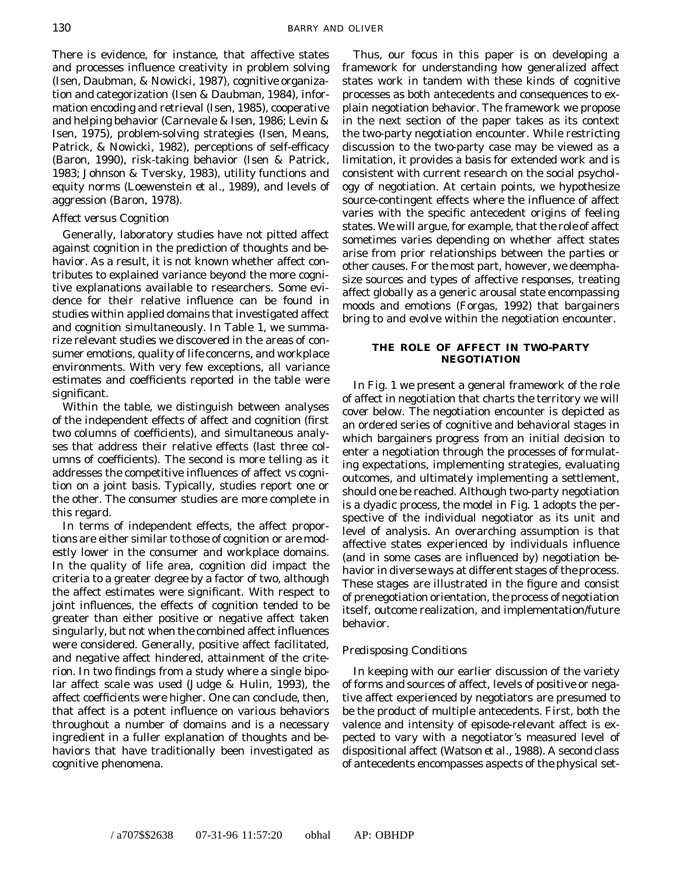rize relevant studies we discovered in the areas of con-<br>
sumer emotions, quality of life concerns, and workplace **NEGOTIATION** environments. With very few exceptions, all variance

were considered. Generally, positive affect facilitated, *Predisposing Conditions* and negative affect hindered, attainment of the criterion. In two findings from a study where a single bipo- In keeping with our earlier discussion of the variety lar affect scale was used (Judge & Hulin, 1993), the of forms and sources of affect, levels of positive or negaaffect coefficients were higher. One can conclude, then, tive affect experienced by negotiators are presumed to that affect is a potent influence on various behaviors be the product of multiple antecedents. First, both the throughout a number of domains and is a necessary valence and intensity of episode-relevant affect is exingredient in a fuller explanation of thoughts and be- pected to vary with a negotiator's measured level of haviors that have traditionally been investigated as dispositional affect (Watson *et al.,* 1988). A second class cognitive phenomena. of antecedents encompasses aspects of the physical set-

There is evidence, for instance, that affective states Thus, our focus in this paper is on developing a and processes influence creativity in problem solving framework for understanding how generalized affect (Isen, Daubman, & Nowicki, 1987), cognitive organiza- states work in tandem with these kinds of cognitive tion and categorization (Isen & Daubman, 1984), infor- processes as both antecedents and consequences to exmation encoding and retrieval (Isen, 1985), cooperative plain negotiation behavior. The framework we propose and helping behavior (Carnevale & Isen, 1986; Levin & in the next section of the paper takes as its context Isen, 1975), problem-solving strategies (Isen, Means, the two-party negotiation encounter. While restricting Patrick, & Nowicki, 1982), perceptions of self-efficacy discussion to the two-party case may be viewed as a (Baron, 1990), risk-taking behavior (Isen & Patrick, limitation, it provides a basis for extended work and is 1983; Johnson & Tversky, 1983), utility functions and consistent with current research on the social psycholequity norms (Loewenstein *et al.,* 1989), and levels of ogy of negotiation. At certain points, we hypothesize aggression (Baron, 1978). source-contingent effects where the influence of affect Affect versus Cognition<br>
Generally, laboratory studies have not pitted affect<br>
against cognition in the prediction of thoughts and be-<br>
havior. As a result, it is not known whether affect con-<br>
tributes to explained varian

estimates and coefficients reported in the table were  $$\rm In~Fig.1$$  we present a general framework of the role of affect in egotiation that charts the territory we will<br>significant. Within the table, we distinguish between a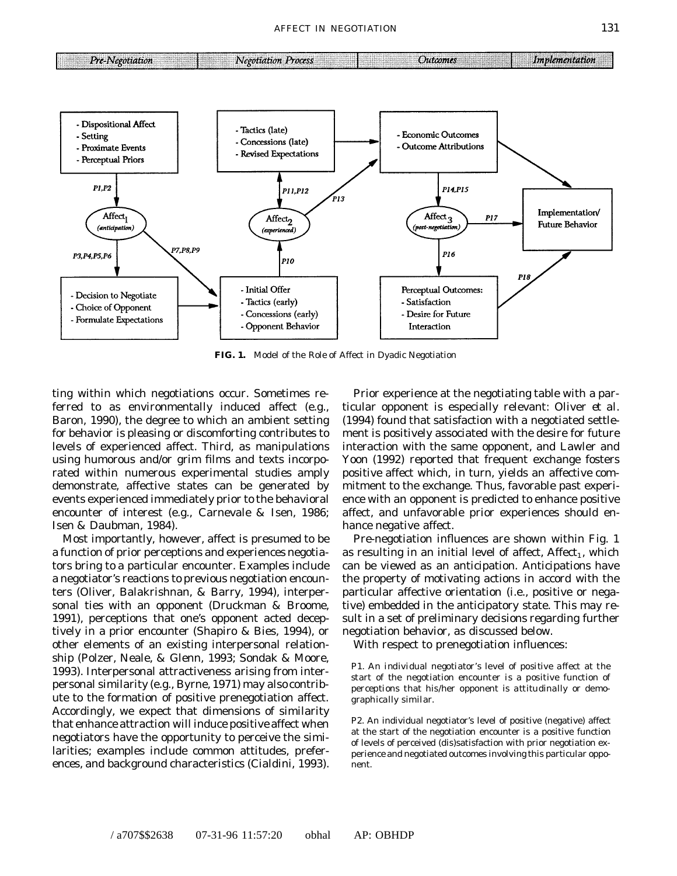

**FIG. 1.** Model of the Role of Affect in Dyadic Negotiation

ting within which negotiations occur. Sometimes re-<br>
Prior experience at the negotiating table with a parferred to as environmentally induced affect (e.g., ticular opponent is especially relevant: Oliver *et al.* Baron, 1990), the degree to which an ambient setting (1994) found that satisfaction with a negotiated settlefor behavior is pleasing or discomforting contributes to ment is positively associated with the desire for future levels of experienced affect. Third, as manipulations interaction with the same opponent, and Lawler and using humorous and/or grim films and texts incorpo- Yoon (1992) reported that frequent exchange fosters rated within numerous experimental studies amply positive affect which, in turn, yields an affective comdemonstrate, affective states can be generated by mitment to the exchange. Thus, favorable past experievents experienced immediately prior to the behavioral ence with an opponent is predicted to enhance positive encounter of interest (e.g., Carnevale & Isen, 1986; affect, and unfavorable prior experiences should en-Isen & Daubman, 1984). hance negative affect.

a function of prior perceptions and experiences negotia- as resulting in an initial level of affect, Affect<sub>1</sub>, which tors bring to a particular encounter. Examples include can be viewed as an anticipation. Anticipations have a negotiator's reactions to previous negotiation encoun- the property of motivating actions in accord with the ters (Oliver, Balakrishnan, & Barry, 1994), interper- particular affective orientation (i.e., positive or negasonal ties with an opponent (Druckman & Broome, tive) embedded in the anticipatory state. This may re-1991), perceptions that one's opponent acted decep- sult in a set of preliminary decisions regarding further tively in a prior encounter (Shapiro & Bies, 1994), or negotiation behavior, as discussed below. other elements of an existing interpersonal relation- With respect to prenegotiation influences: ship (Polzer, Neale, & Glenn, 1993; Sondak & Moore,<br>1993). Interpersonal attractiveness arising from inter-<br>1993). Interpersonal similarity (e.g., Byrne, 1971) may also contrib-<br>1993). Interpersonal similarity (e.g., Byrne ute to the formation of positive prenegotiation affect. *graphically similar*. Accordingly, we expect that dimensions of similarity<br>that enhance attraction will induce positive affect when<br>negotiators have the opportunity to perceive the simi-<br>negotiators have the opportunity to perceive the simi-<br>larities; examples include common attitudes, prefer-<br>perience and negotiated outcomes involving this particular oppoences, and background characteristics (Cialdini, 1993). nent.

Most importantly, however, affect is presumed to be Pre-negotiation influences are shown within Fig. 1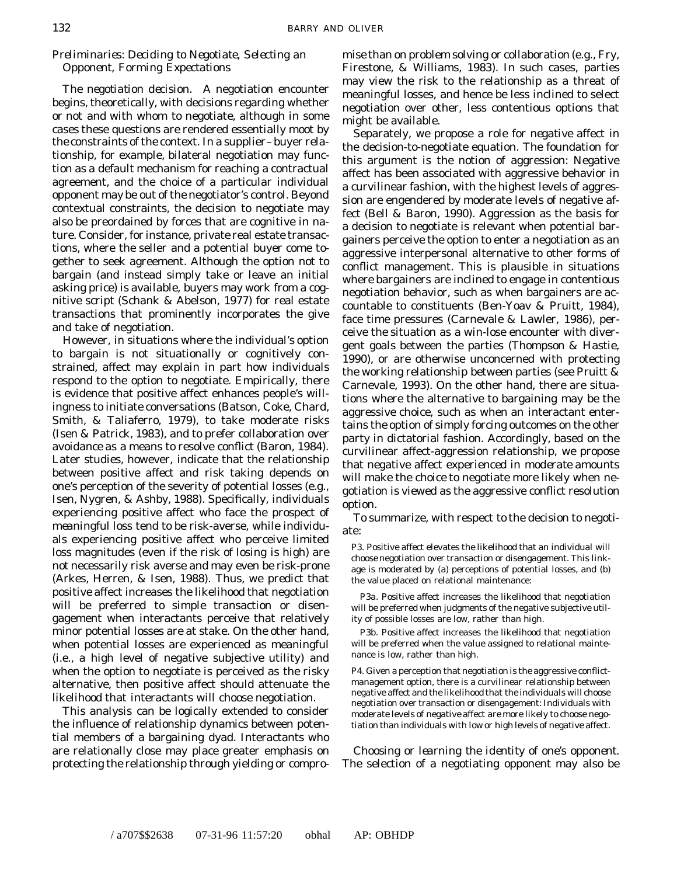The negotiation decision. A negotiation encounter<br>begins, theoretically, with decisions regarding whether<br>or not and with whom to negotiate, although in some magnificant over other, less contentious options that<br>cases thes

However, in situations where the individual's option<br>to bargain is not situationally or cognitively con-<br>strained, affect may explain in part how individuals<br>trained, affect may explain in part how individuals<br>the working between positive affect and risk taking depends on<br>one's perception of the severity of potential losses (e.g.,<br>Isen, Nygren, & Ashby, 1988). Specifically, individuals<br>experiencing positive affect who face the prospect of<br>m ate:<br>
als experiencing positive affect who perceive limited<br>
loss magnitudes (even if the risk of losing is high) are<br>
not necessarily risk averse and may even be risk-prone<br>
the risk-prone<br>
the state of losing is high) ar (Arkes, Herren,  $\&$  Isen, 1988). Thus, we predict that the value placed on relational maintenance: positive affect increases the likelihood that negotiation *P3a.* Positive affect increases the likelihood that negotiation will be preferred to simple transaction or disen-<br>will be preferred when judgments of the negative subjective utilgagement when interactants perceive that relatively ity of possible losses are low, rather than high. minor potential losses are at stake. On the other hand, *P3b.* Positive affect increases the likelihood that negotiation when potential losses are experienced as meaningful will be preferred when the value assigned to relational mainte-<br>(i.e., a high level of negative subjective utility) and nance is low, rather than high. (i.e., a high level of negative subjective utility) and when the option to negotiate is perceived as the risky  $P4$ . Given a perception that negotiation is the aggressive conflict-

the influence of relationship dynamics between poten- tiation than individuals with low or high levels of negative affect. tial members of a bargaining dyad. Interactants who protecting the relationship through yielding or compro- The selection of a negotiating opponent may also be

*Preliminaries: Deciding to Negotiate, Selecting an* mise than on problem solving or collaboration (e.g., Fry, *Opponent, Forming Expectations* Firestone, & Williams, 1983). In such cases, parties

the constraints of the context. In a supplier-buyer rela-<br>the decision-to-negotiate equation. The foundation for<br>tion as a default mechanism for reaching a contractual<br>different has been associated with agreessive behavio

alternative, then positive affect should attenuate the management option, there is a curvilinear relationship between<br>likelihood that interactants will choose negotiation.<br>This analysis can be logically extended to conside

are relationally close may place greater emphasis on *Choosing or learning the identity of one's opponent.*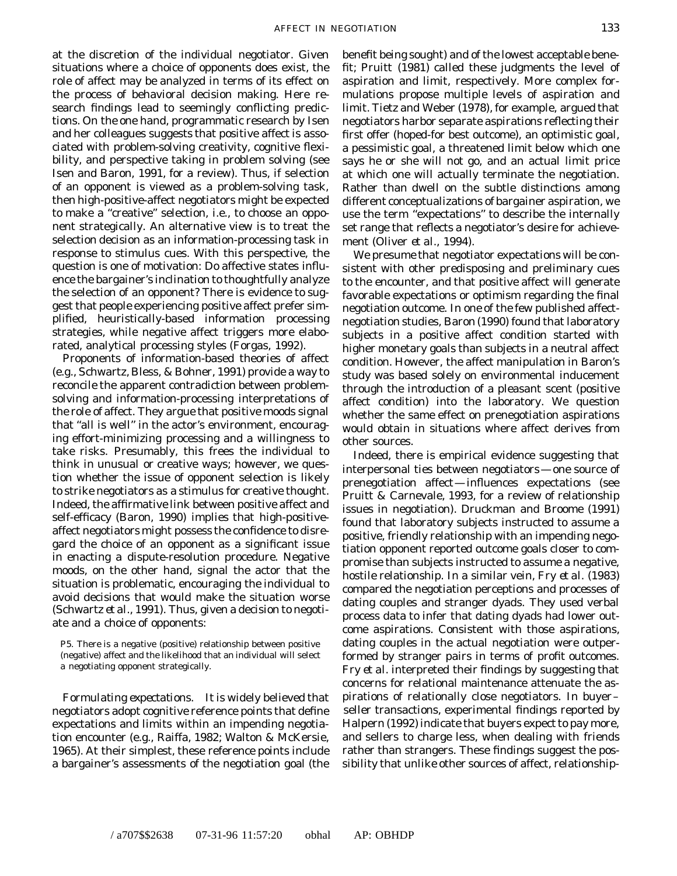situations where a choice of opponents does exist, the fit; Pruitt (1981) called these judgments the level of role of affect may be analyzed in terms of its effect on aspiration and limit, respectively. More complex forthe process of behavioral decision making. Here re- mulations propose multiple levels of aspiration and search findings lead to seemingly conflicting predic- limit. Tietz and Weber (1978), for example, argued that tions. On the one hand, programmatic research by Isen negotiators harbor separate aspirations reflecting their and her colleagues suggests that positive affect is asso- first offer (hoped-for best outcome), an optimistic goal, ciated with problem-solving creativity, cognitive flexi- a pessimistic goal, a threatened limit below which one bility, and perspective taking in problem solving (see *says* he or she will not go, and an actual limit price Isen and Baron, 1991, for a review). Thus, if selection at which one will actually terminate the negotiation. of an opponent is viewed as a problem-solving task, Rather than dwell on the subtle distinctions among then high-positive-affect negotiators might be expected different conceptualizations of bargainer aspiration, we to make a ''creative'' selection, i.e., to choose an oppo- use the term ''expectations'' to describe the internally nent strategically. An alternative view is to treat the set range that reflects a negotiator's desire for achieveselection decision as an information-processing task in ment (Oliver *et al.,* 1994). response to stimulus cues. With this perspective, the We presume that negotiator expectations will be con-<br>question is one of motivation: Do affective states influ-sistent with other predisposing and preliminary cues question is one of motivation: Do affective states influ-<br>ence the bargainer's inclination to thoughtfully analyze to the encounter, and that positive affect will generate

ing effort-minimizing processing and a willingness to other sources.<br>take risks. Presumably, this frees the individual to Indeed the

at the discretion of the individual negotiator. Given benefit being sought) and of the lowest acceptable bene-

ence the bargainer's inclination to thoughtfully analyze<br>
to the encounter, and that positive affect will generate<br>
the selection of an opponent? There is evidence to sug-<br>
favorable expectations or optimism regarding the

take risks. Presumably, this frees the individual to<br>
think in unusul or creative ways; however, we questime the infinition whether the issue of opponent selection is likely<br>
tion whether the issue of opponent selection i *P5.* There is a negative (positive) relationship between positive dating couples in the actual negotiation were outper-(negative) affect and the likelihood that an individual will select formed by stranger pairs in terms of profit outcomes.<br>
Fry et al. interpreted their findings by suggesting that Fry *et al.* interpreted their findings by suggesting that concerns for relational maintenance attenuate the as-*Formulating expectations.* It is widely believed that pirations of relationally close negotiators. In buyer– negotiators adopt cognitive reference points that define seller transactions, experimental findings reported by expectations and limits within an impending negotia- Halpern (1992) indicate that buyers expect to pay more, tion encounter (e.g., Raiffa, 1982; Walton & McKersie, and sellers to charge less, when dealing with friends 1965). At their simplest, these reference points include rather than strangers. These findings suggest the posa bargainer's assessments of the negotiation goal (the sibility that unlike other sources of affect, relationship-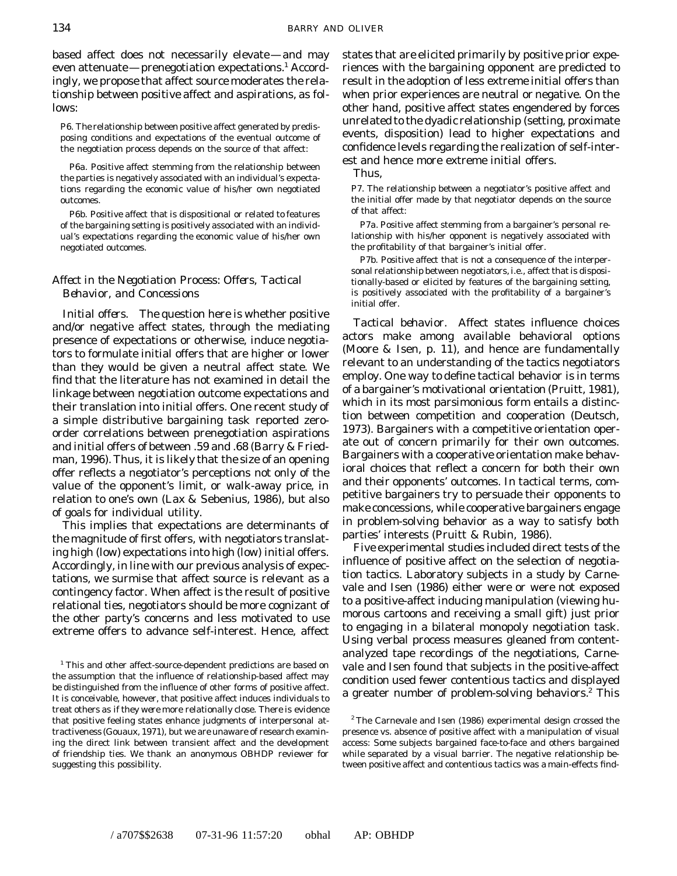the negotiation process depends on the source of that affect:

*P6a.* Positive affect stemming from the relationship between extreme initial offers.<br>the parties is negatively associated with an individual's expecta-<br>Thus, tions regarding the economic value of his/her own negotiated *P7.* The relationship between a negotiator's positive affect and outcomes.

P6b. Positive affect that is dispositional or related to features of that affect: negotiated outcomes. the profitability of that bargainer's initial offer.

Initial offers. The question here is whether positive<br>and/or negative affect states, through the mediating<br>presence of expectations or otherwise, induce negotia-<br>tors to formulate initial offers that are higher or lower<br>th linkage between negotiation outcome expectations and<br>their translation into initial offers. One recent study of which in its most parsimonious form entails a distinc-<br>a simple distributive bargaining task reported zero-<br>or and initial offers of between .59 and .68 (Barry & Fried-<br>man, 1996). Thus, it is likely that the size of an opening Bargainers with a cooperative orientation make behav-<br>offer neglects a negative is representing net only

offer reflects a negotiator's perceptions not only of the<br>
usual choices that reflect a concern for both their own<br>
value of the opponent's limit, or walk-away price, in and their opponents' outcomes. In tactical terms, co

based affect does not necessarily elevate—and may states that are elicited primarily by positive prior expeeven attenuate—prenegotiation expectations.<sup>1</sup> Accord-<br>riences with the bargaining opponent are predicted to ingly, we propose that affect source moderates the rela-<br>result in the adoption of less extreme initial offers than tionship between positive affect and aspirations, as fol- when prior experiences are neutral or negative. On the lows: other hand, positive affect states engendered by forces *P6.* The relationship between positive affect generated by predis-<br>posing conditions and expectations of the eventual outcome of events, disposition) lead to higher expectations and<br>the negotiation process depends on the

of the bargaining setting is positively associated with an individ- *P7a.* Positive affect stemming from a bargainer's personal reual's expectations regarding the economic value of his/her own lationship with his/her opponent is negatively associated with

*P7b.* Positive affect that is *not* a consequence of the interpersonal relationship between negotiators, i.e., affect that is disposi-*Affect in the Negotiation Process: Offers, Tactical* tionally-based or elicited by features of the bargaining setting, *Behavior, and Concessions* is positively associated with the profitability of a bargainer's initial offer.

analyzed tape recordings of the negotiations, Carne-

 $^1$  This and other affect-source-dependent predictions are based on  $^1$  vale and Isen found that subjects in the positive-affect the assumption that the influence of relationship-based affect may be distinguished from t treat others as if they *were* more relationally close. There is evidence that positive feeling states enhance judgments of interpersonal at-<br>
<sup>2</sup> The Carnevale and Isen (1986) experimental design crossed the suggesting this possibility. tween positive affect and contentious tactics was a main-effects find-

tractiveness (Gouaux, 1971), but we are unaware of research examin- presence vs. absence of positive affect with a manipulation of visual ing the direct link between transient affect and the development access: Some subjects bargained face-to-face and others bargained of friendship ties. We thank an anonymous OBHDP reviewer for while separated by a visual barrier. The negative relationship be-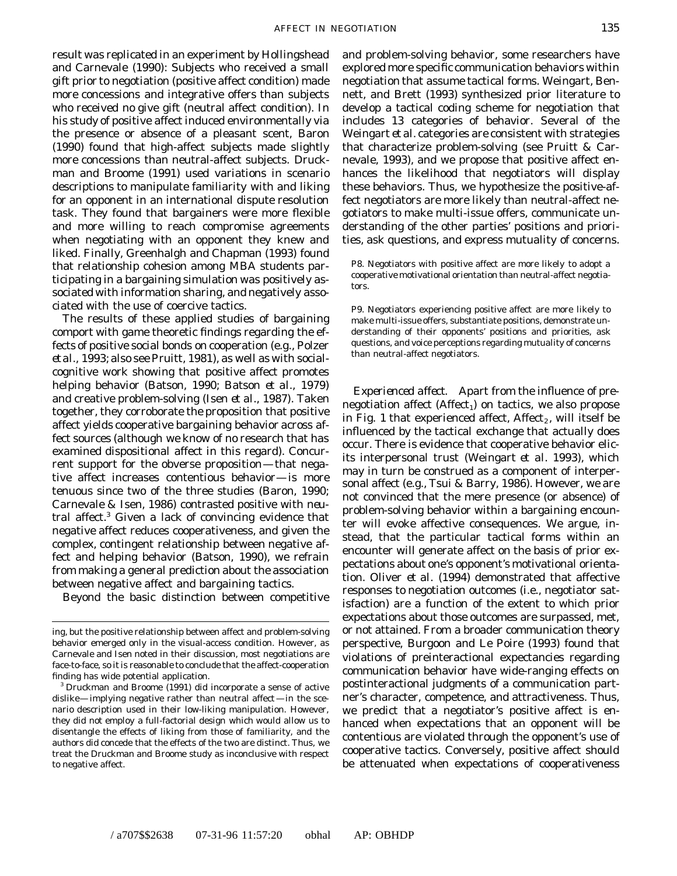and Carnevale (1990): Subjects who received a small explored more specific communication behaviors within gift prior to negotiation (positive affect condition) made negotiation that assume tactical forms. Weingart, Benmore concessions and integrative offers than subjects nett, and Brett (1993) synthesized prior literature to who received no give gift (neutral affect condition). In develop a tactical coding scheme for negotiation that his study of positive affect induced environmentally via includes 13 categories of behavior. Several of the the presence or absence of a pleasant scent, Baron Weingart *et al.* categories are consistent with strategies (1990) found that high-affect subjects made slightly that characterize problem-solving (see Pruitt & Carmore concessions than neutral-affect subjects. Druck- nevale, 1993), and we propose that positive affect enman and Broome (1991) used variations in scenario hances the likelihood that negotiators will display descriptions to manipulate familiarity with and liking these behaviors. Thus, we hypothesize the positive-affor an opponent in an international dispute resolution fect negotiators are more likely than neutral-affect netask. They found that bargainers were more flexible gotiators to make multi-issue offers, communicate unand more willing to reach compromise agreements derstanding of the other parties' positions and prioriwhen negotiating with an opponent they knew and ties, ask questions, and express mutuality of concerns. liked. Finally, Greenhalgh and Chapman (1993) found that relationship cohesion among MBA students par-<br>ticipating in a bargaining simulation was positively as-<br>sociated with information sharing, and negatively asso-<br>sociated with information sharing, and negatively associated with the use of coercive tactics. *P9.* Negotiators experiencing positive affect are more likely to

comport with game theoretic findings regarding the ef- derstanding of their opponents' positions and priorities, ask fects of positive social bonds on cooperation (e.g., Polzer questions, and voice perceptions regarding mutuality of concerns *et al.*, 1993; also see Pruitt, 1981), as well as with social-<br>
than neutral-affect negotiators. cognitive work showing that positive affect promotes

result was replicated in an experiment by Hollingshead and problem-solving behavior, some researchers have

The results of these applied studies of bargaining make multi-issue offers, substantiate positions, demonstrate un-

helping behavior (Batson, 1990; Batson *et al.*, 1979)<br>
Experienced affect. Apart from the influence of pre-<br>
and creative problem-solving (Isen *et al.*, 1987). Taken negotiation affect (Affect<sub>1</sub>) on tactics, we also pr expectations about those outcomes are surpassed, met, ing, but the positive relationship between affect and problem-solving or not attained. From a broader communication theory <sup>3</sup> Druckman and Broome (1991) did incorporate a sense of active postinteractional judgments of a communication partthey did not employ a full-factorial design which would allow us to<br>disentangle the effects of liking from those of familiarity, and the<br>authors did concede that the effects of the two are distinct. Thus, we<br>contentious ar

behavior emerged only in the visual-access condition. However, as perspective, Burgoon and Le Poire (1993) found that Carnevale and Isen noted in their discussion, most negotiations are<br>face-to-face, so it is reasonable to conclude that the affect-cooperation<br>finding has wide potential application.<br> $\blacksquare$ 

dislike—implying negative rather than neutral affect —in the sce- ner's character, competence, and attractiveness. Thus, nario description used in their low-liking manipulation. However, we predict that a negotiator's positive affect is en-<br>they did not employ a full-factorial design which would allow us to hanced when expectations that an o treat the Druckman and Broome study as inconclusive with respect cooperative tactics. Conversely, positive affect should to negative affect. be attenuated when expectations of cooperativeness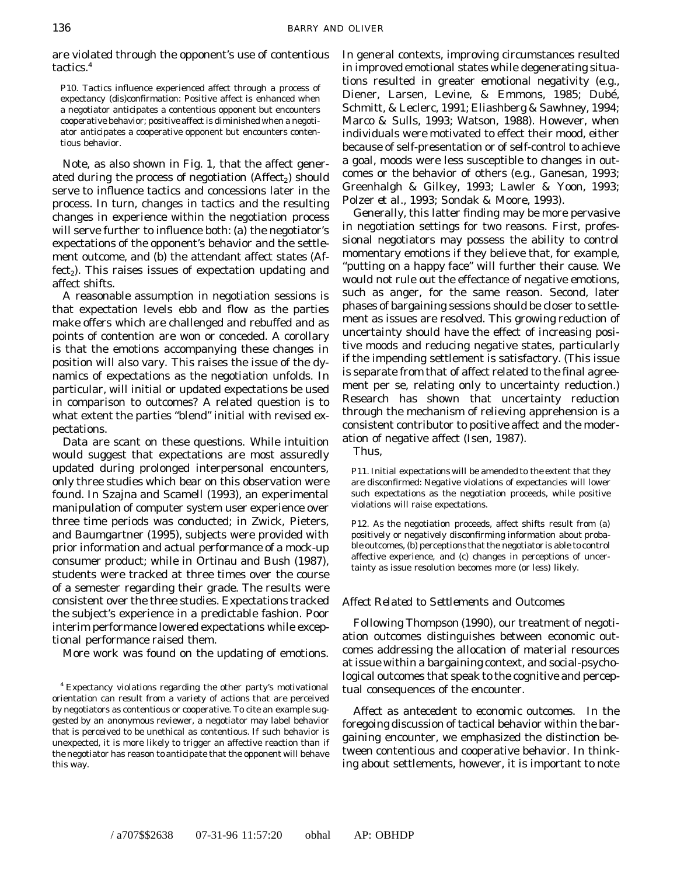are violated through the opponent's use of contentious In general contexts, improving circumstances resulted tactics.<sup>4</sup> in improved emotional states while degenerating situa-

ated during the process of negotiation (Affect<sub>2</sub>) should comes or the behavior of others (e.g., Ganesan, 1993; serve to influence tactics and concessions later in the Greenhalgh & Gilkey, 1993; Lawler & Yoon, 1993; proce process. In turn, changes in tactics and the resulting Polzer *et al.*, 1993; Sondak & Moore, 1993).<br>
changes in experience within the negotiation process Generally, this latter finding may be more pervasive will serve further to influence both: (a) the negotiator's in negotiation settings for two reasons. First, profes-<br>expectations of the opponent's behavior and the settle-<br>sional negotiators may possess the ability to contr expectations of the opponent's behavior and the settle-<br>momentary emotions if they believe that, for example,<br>mont outcome, and (b) the attendant affect states (Afrace momentary emotions if they believe that, for example, ment outcome, and (b) the attendant affect states (Af- momentary emotions if they believe that, for example,  $f_{\text{ext}}$ ). This raises issues of expectation undating and "putting on a happy face" will further their cause. We fect<sub>2</sub>). This raises issues of expectation updating and putting on a happy face' will further their cause. We would not rule out the effectance of negative emotions,

that expectation levels ebb and flow as the parties make offers which are challenged and rebuffed and as ment as issues are resolved. This growing reduction of points of contention are won or conceded. A corollary uncertainty should have the effect of increasing posipoints of contention are won or conceded. A corollary<br>
is that the emotions accompanying these changes in<br>
position will also vary. This raises the issue of the dy-<br>
if the impending settlement is satisfactory. (This issue in comparison to outcomes? A related question is to kesearch has shown that uncertainty reduction<br>what extent the parties "blend" initial with revised ex-<br>through the mechanism of relieving apprehension is a

Data are scant on these questions. While intuition ation of negative and negative affect  $\frac{1}{2}$  and  $\frac{1}{2}$  and  $\frac{1}{2}$  and  $\frac{1}{2}$  and  $\frac{1}{2}$  and  $\frac{1}{2}$  and  $\frac{1}{2}$  and  $\frac{1}{2}$  and  $\frac{1}{2}$  and  $\frac{1}{2$ would suggest that expectations are most assuredly updated during prolonged interpersonal encounters, *P11.* Initial expectations will be amended to the extent that they only three studies which bear on this observation were are disconfirmed: Negative violations of expectancies will lower found. In Szajna and Scamell (1993), an experimental such expectations as the negotiation proceeds, while positive manipulation of computer system user experience over violations will raise expectations. manipulation of computer system user experience over three time periods was conducted; in Zwick, Pieters, *P12.* As the negotiation proceeds, affect shifts result from (a) and Baumgartner (1995), subjects were provided with positively or negatively disconfirming information about probaprior information and actual performance of a mock-up<br>consumer product; while in Ortinau and Bush  $(1987)$ ,<br>students were tracked at three times over the course<br>dents were tracked at three times over the course of a semester regarding their grade. The results were consistent over the three studies. Expectations tracked *Affect Related to Settlements and Outcomes* the subject's experience in a predictable fashion. Poor<br>interim performance lowered expectations while excep-<br>tional performance raised them.<br>More work was found on the undating of emotions comes addressing the allocation

More work was found on the updating of emotions.

by negotiators as contentious or cooperative. To cite an example sug- *Affect as antecedent to economic outcomes.* In the gested by an anonymous reviewer, a negotiator may label behavior<br>that is perceived to be unethical as contentious. If such behavior is<br>unexpected, it is more likely to trigger an affective reaction than if gaining encounte the negotiator has reason to anticipate that the opponent will behave tween contentious and cooperative behavior. In thinkthis way. ing about settlements, however, it is important to note

*P10.* Tactics influence experienced affect through a process of tions resulted in greater emotional negativity (e.g., expectancy (dis)confirmation: Positive affect is enhanced when Diener, Larsen, Levine, & Emmons, 1985; a negotiator anticipates a contentious opponent but encounters Schmitt, & Leclerc, 1991; Eliashberg & Sawhney, 1994; cooperative behavior; positive affect is diminished when a negoti- Marco & Sulls, 1993; Watson, 1988). However, when ator anticipates a cooperative opponent but encounters conten-<br>tious behavior.<br>hecouse of self-presentation an ef self-control to ochieve because of self-presentation or of self-control to achieve Note, as also shown in Fig. 1, that the affect gener- a goal, moods were less susceptible to changes in out-<br>
red during the process of negotiation (Affect) should comes or the behavior of others (e.g., Ganesan, 1993;

A reasonable assumption in negotiation sessions is such as anger, for the same reason. Second, later<br>at expectation levels ebb and flow as the parties phases of bargaining sessions should be closer to settlepectations.<br>
Data are scant on these questions. While intuition ation of negative affect (Isen, 1987).

at issue within a bargaining context, and social-psychological outcomes that speak to the cognitive and percep-<br><sup>4</sup> Expectancy violations regarding the other party's motivational<br>orientation can result from a variety of actions that are perceived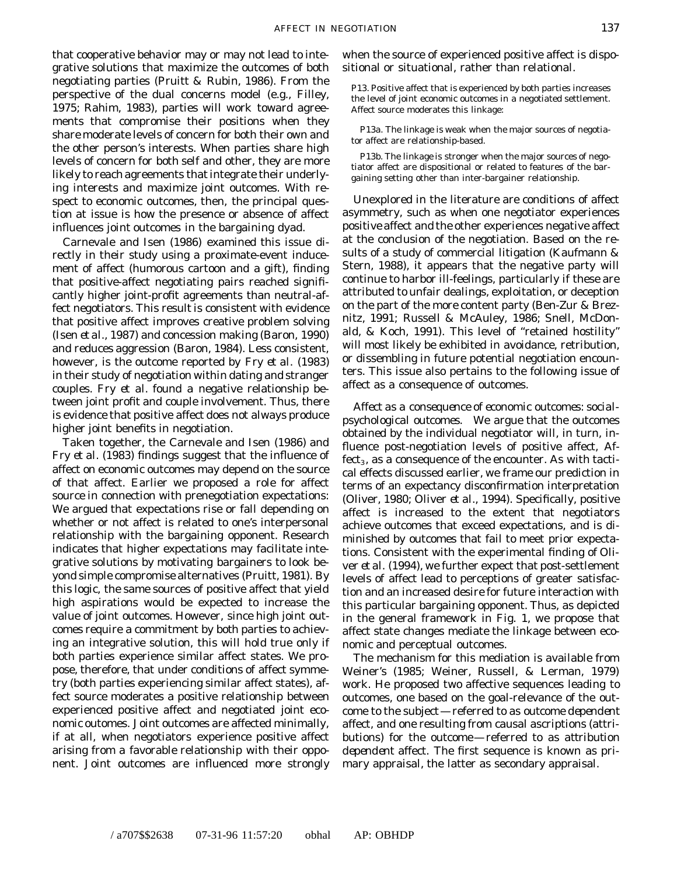grative solutions that maximize the outcomes of both sitional or situational, rather than relational. negotiating parties (Pruitt & Rubin, 1986). From the *P13*. Positive affect that is experienced by both parties increases perspective of the dual concerns model (e.g., Filley,  $P13$ . Positive affect that is experienced by 1975; Rahim, 1983), parties will work toward agree- Affect source moderates this linkage: ments that compromise their positions when they<br>share moderate levels of concern for both their own and<br>the other person's interests. When parties share high<br>levels of concern for both self and other, they are more<br>likely ing interests and maximize joint outcomes. With respect to economic outcomes, then, the principal ques-<br>Unexplored in the literature are conditions of affect

rectly in their study using a proximate-event inducefect negotiators. This result is consistent with evidence on the part of the more content party (Ben-Zur & Brez-<br>that positive affect improves creative problem solving nitz, 1991; Russell & McAuley, 1986; Snell, McDon-<br>(Is

high aspirations would be expected to increase the this particular bargaining opponent. Thus, as depicted value of joint outcomes. However, since high joint out-<br>ones require a commitment by *both* parties to achiev-affect ing an integrative solution, this will hold true only if nomic and perceptual outcomes. both parties experience similar affect states. We pro- The mechanism for this mediation is available from pose, therefore, that under conditions of affect symme- Weiner's (1985; Weiner, Russell, & Lerman, 1979) try (both parties experiencing similar affect states), af- work. He proposed two affective sequences leading to fect source moderates a positive relationship between outcomes, one based on the goal-relevance of the outnomic outomes. Joint outcomes are affected minimally, affect, and one resulting from causal ascriptions (attriarising from a favorable relationship with their oppo- *dependent* affect. The first sequence is known as prinent. Joint outcomes are influenced more strongly mary appraisal, the latter as secondary appraisal.

that cooperative behavior may or may not lead to inte- when the source of experienced positive affect is dispo-

tion at issue is how the presence or absence of affect asymmetry, such as when one negotiator experiences influences *joint* outcomes in the bargaining dyad. positive affect and the other experiences negative affect Carnevale and Isen (1986) examined this issue di- at the conclusion of the negotiation. Based on the re-<br>
sults of a study of commercial litigation (Kaufmann & ment of affect (humorous cartoon and a gift), finding Stern, 1988), it appears that the negative party will<br>that positive-affect negotiating pairs reached significant continue to harbor ill-feelings, particularly if these that positive-affect negotiating pairs reached signifi-<br>continue to harbor ill-feelings, particularly if these are<br>cantly higher joint-profit agreements than peutral-af-<br>ditributed to unfair dealings, exploitation, or dece cantly higher joint-profit agreements than neutral-af- attributed to unfair dealings, exploitation, or deception<br>fect negotiators. This result is consistent with evidence on the part of the more content party (Ben-Zur & Br

tween joint profit and couple involvement. Thus, there<br>
is evidence that positive affect does not always produce<br>
ingher joint benefits in negotiation.<br>
Taken together, the Carnevale and Isen (1986) and the phasical outco affect state changes mediate the linkage between eco-

experienced positive affect and negotiated joint eco- come to the subject—referred to as *outcome dependent* if at all, when negotiators experience positive affect butions) for the outcome—referred to as *attribution*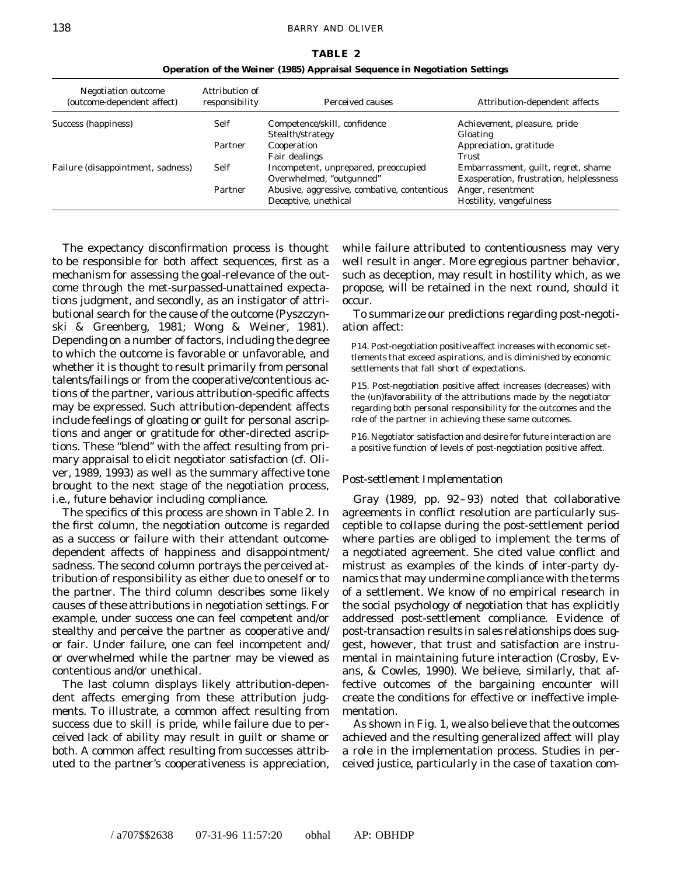| ABL F |  |
|-------|--|
|-------|--|

| Negotiation outcome<br>(outcome-dependent affect) | Attribution of<br>responsibility | Perceived causes                                                    | Attribution-dependent affects                                                  |
|---------------------------------------------------|----------------------------------|---------------------------------------------------------------------|--------------------------------------------------------------------------------|
| Success (happiness)                               | Self                             | Competence/skill, confidence<br>Stealth/strategy                    | Achievement, pleasure, pride<br>Gloating                                       |
|                                                   | Partner                          | Cooperation<br>Fair dealings                                        | Appreciation, gratitude<br>Trust                                               |
| Failure (disappointment, sadness)                 | Self                             | Incompetent, unprepared, preoccupied<br>Overwhelmed, "outgunned"    | Embarrassment, guilt, regret, shame<br>Exasperation, frustration, helplessness |
|                                                   | Partner                          | Abusive, aggressive, combative, contentious<br>Deceptive, unethical | Anger, resentment<br>Hostility, vengefulness                                   |

**Operation of the Weiner (1985) Appraisal Sequence in Negotiation Settings**

to be responsible for both affect sequences, first as a well result in anger. More egregious partner behavior, mechanism for assessing the goal-relevance of the out- such as deception, may result in hostility which, as we come through the met-surpassed-unattained expecta- propose, will be retained in the next round, should it tions judgment, and secondly, as an instigator of attri- occur. butional search for the cause of the outcome (Pyszczyn- To summarize our predictions regarding post-negotiski & Greenberg, 1981; Wong & Weiner, 1981). ation affect: Depending on a number of factors, including the degree<br>to which the outcome is favorable or unfavorable, and<br>the ments that exceed aspirations, and is diminished by economic whether it is thought to result primarily from personal settlements that fall short of expectations. talents/failings or from the cooperative/contentious  $\alpha$ -<br>tions of the partner, various attribution-specific affects<br>the (un)favorability of the attributions made by the negotiator may be expressed. Such attribution-dependent affects regarding both personal responsibility for the outcomes and the include feelings of gloating or guilt for personal ascrip- role of the partner in achieving these same outcomes. tions and anger or gratitude for other-directed ascrip- *P16.* Negotiator satisfaction and desire for future interaction are tions. These ''blend'' with the affect resulting from pri- a positive function of levels of post-negotiation positive affect. mary appraisal to elicit negotiator satisfaction (cf. Oliver, 1989, 1993) as well as the summary affective tone *Post-settlement Implementation* brought to the next stage of the negotiation process,

the first column, the negotiation outcome is regarded ceptible to collapse during the post-settlement period as a success or failure with their attendant outcome- where parties are obliged to implement the terms of dependent affects of happiness and disappointment/ a negotiated agreement. She cited value conflict and sadness. The second column portrays the perceived at- mistrust as examples of the kinds of inter-party dytribution of responsibility as either due to oneself or to namics that may undermine compliance with the terms the partner. The third column describes some likely of a settlement. We know of no empirical research in causes of these attributions in negotiation settings. For the social psychology of negotiation that has explicitly example, under success one can feel competent and/or addressed post-settlement compliance. Evidence of stealthy and perceive the partner as cooperative and/ post-transaction results in sales relationships does sugor fair. Under failure, one can feel incompetent and/ gest, however, that trust and satisfaction are instruor overwhelmed while the partner may be viewed as mental in maintaining future interaction (Crosby, Evcontentious and/or unethical. ans, & Cowles, 1990). We believe, similarly, that af-

dent affects emerging from these attribution judg- create the conditions for effective or ineffective implements. To illustrate, a common affect resulting from mentation. success due to skill is pride, while failure due to per- As shown in Fig. 1, we also believe that the outcomes

The expectancy disconfirmation process is thought while failure attributed to contentiousness may very

i.e., future behavior including compliance. Gray (1989, pp. 92–93) noted that collaborative The specifics of this process are shown in Table 2. In agreements in conflict resolution are particularly sus-The last column displays likely attribution-depen- fective outcomes of the bargaining encounter will

ceived lack of ability may result in guilt or shame or achieved and the resulting generalized affect will play both. A common affect resulting from successes attrib- a role in the implementation process. Studies in peruted to the partner's cooperativeness is appreciation, ceived justice, particularly in the case of taxation com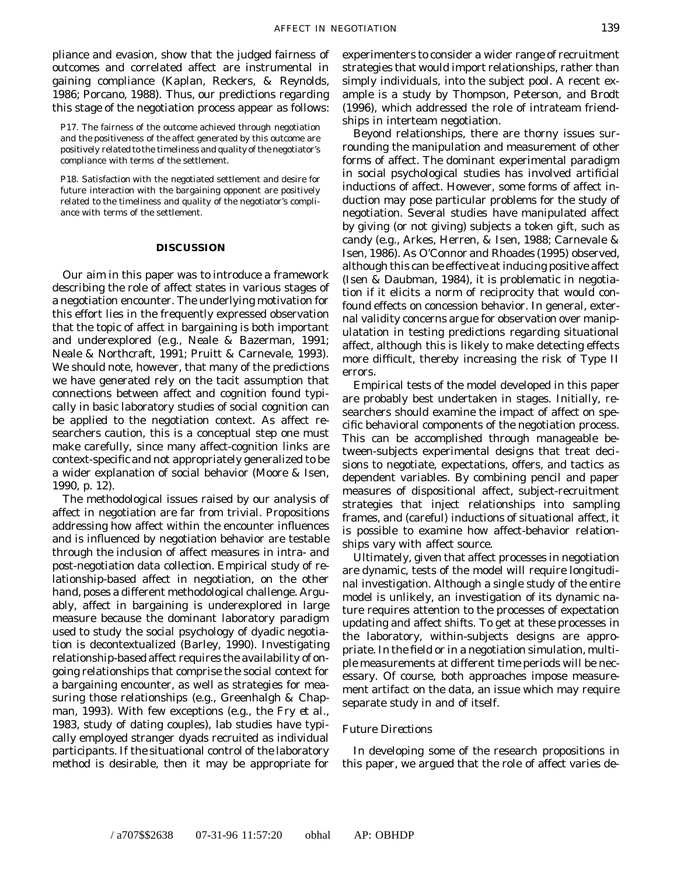pliance and evasion, show that the judged fairness of experimenters to consider a wider range of recruitment outcomes and correlated affect are instrumental in strategies that would import relationships, rather than gaining compliance (Kaplan, Reckers, & Reynolds, simply individuals, into the subject pool. A recent ex-1986; Porcano, 1988). Thus, our predictions regarding ample is a study by Thompson, Peterson, and Brodt this stage of the negotiation process appear as follows: (1996), which addressed the role of intrateam friend-

*P17.* The fairness of the outcome achieved through negotiation ships in interteam negotiation.<br>and the positiveness of the affect generated by this outcome are **Beyond relationships**, there are thorny issues sur-

we have generated rely on the tastimplion that assumption that examples the model developed in this paper connections between affect and cognition found typi-<br>
Evaluated in the space. Initially, recently in basic laborato 1983, study of dating couples), lab studies have typi- *Future Directions* cally employed stranger dyads recruited as individual participants. If the situational control of the laboratory In developing some of the research propositions in

positively related to the timeliness and quality of the negotiator's rounding the manipulation and measurement of other compliance with terms of the settlement. forms of affect. The dominant experimental paradigm *P18.* Satisfaction with the negotiated settlement and desire for<br>future interaction with the bargaining opponent are positively<br>inductions of affect. However, some forms of affect inrelated to the timeliness and quality of the negotiator's compli- duction may pose particular problems for the study of ance with terms of the settlement. The settlement of the settlement. The settlement of the settlement. The set of the settlement. The set of the settlement. The set of the set of the set of the set of the set of the set of by giving (or not giving) subjects a token gift, such as candy (e.g., Arkes, Herren, & Isen, 1988; Carnevale & **DISCUSSION** Isen, 1986). As O'Connor and Rhoades (1995) observed, Our aim in this paper was to introduce a framework<br>describing the role of affect states in various stages of<br>a negotiation encounter. The underlying motivation for<br>a negotiation encounter. The underlying motivation for<br>th

method is desirable, then it may be appropriate for this paper, we argued that the role of affect varies de-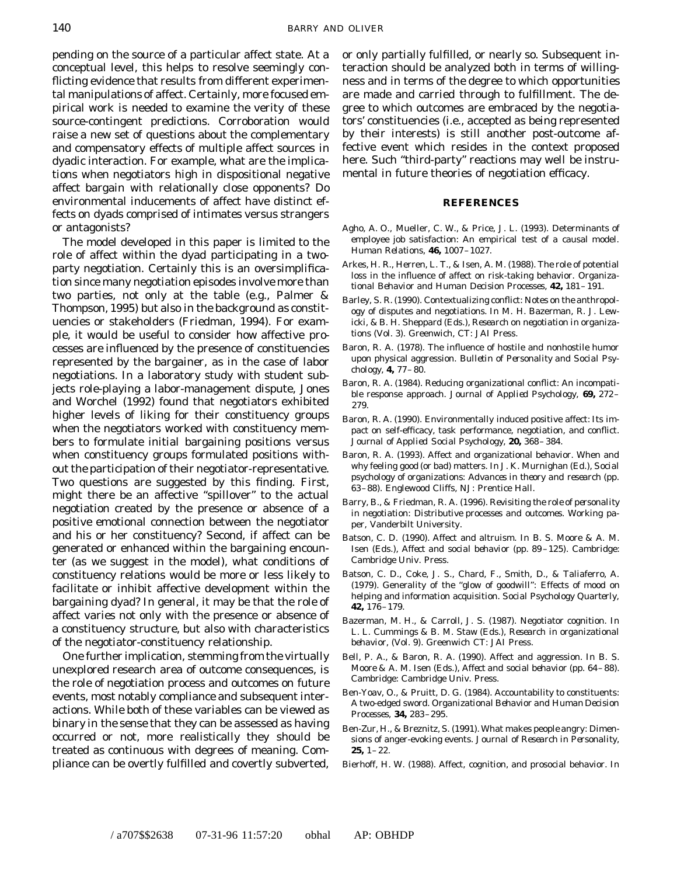tions when negotiators high in dispositional negative mental in future theories of negotiation efficacy. affect bargain with relationally close opponents? Do environmental inducements of affect have distinct ef- **REFERENCES** fects on dyads comprised of intimates versus strangers or antagonists? Agho, A. O., Mueller, C. W., & Price, J. L. (1993). Determinants of

role of affect within the dyad participating in a two-<br>party negotiation. Certainly this is an oversimplifica-<br>tion since many negotiation episodes involve more than<br>tional Behavior and Human Decision Processes, 42, 181–19 two parties, not only at the table (e.g., Palmer & Barley, S. R. (1990). Contextualizing conflict: Notes on the anthropol-Thompson, 1995) but also in the background as constit- ogy of disputes and negotiations. In M. H. Bazerman, R. J. Lewuencies or stakeholders (Friedman, 1994). For exam- icki, & B. H. Sheppard (Eds.), *Research on negotiation in organiza*ple, it would be useful to consider how affective pro- *tions* (Vol. 3). Greenwich, CT: JAI Press. cesses are influenced by the presence of constituencies Baron, R. A. (1978). The influence of hostile and nonhostile humor<br>represented by the bargainer as in the case of labor upon physical aggression. Bulletin of Personal represented by the bargainer, as in the case of labor and physical aggression. *Bulletin of Personality and Social Psy*-<br>negotiations. In a laboratory study with student sub-<br>jects role-playing a labor-management dispute, and Worchel (1992) found that negotiators exhibited  $\frac{279}{279}$ . higher levels of liking for their constituency groups Baron, R. A. (1990). Environmentally induced positive affect: Its imwhen the negotiators worked with constituency mem-<br>
pact on self-efficacy, task performance, negotiation, and conflict. bers to formulate initial bargaining positions versus *Journal of Applied Social Psychology,* **20,** 368–384. when constituency groups formulated positions with-<br>Baron, R. A. (1993). Affect and organizational behavior. When and out the participation of their negotiator-representative.<br>Two questions are suggested by this finding. First,<br>might there be an affective "spillover" to the actual<br>negotiation created by the presence or absence of a<br>megoti negotiation created by the presence or absence or a *in negotiation: Distributive processes and outcomes*. Working pa-<br>positive emotional connection between the negotiator <sub>per, Vanderbilt University.</sub> and his or her constituency? Second, if affect can be Batson, C. D. (1990). Affect and altruism. In B. S. Moore & A. M. generated or enhanced within the bargaining encoun- Isen (Eds.), *Affect and social behavior* (pp. 89 –125). Cambridge: ter (as we suggest in the model), what conditions of Cambridge Univ. Press. constituency relations would be more or less likely to Batson, C. D., Coke, J. S., Chard, F., Smith, D., & Taliaferro, A.<br>
facilitate or inhibit affective development within the (1979). Generality of the "glow of goodwill" facilitate or inhibit affective development within the<br>bargaining dyad? In general, it may be that the role of<br>affect varies not only with the presence or absence of<br> $\frac{11979}{42, 176-179}$ . arect varies not only with the presence or absence or Bazerman, M. H., & Carroll, J. S. (1987). Negotiator cognition. In a constituency structure, but also with characteristics L. L. Cummings & B. M. Staw (Eds.), Research of the negotiator-constituency relationship. *behavior,* (Vol. 9). Greenwich CT: JAI Press.

One further implication, stemming from the virtually Bell, P. A., & Baron, R. A. (1990). Affect and aggression. In B. S. unexplored research area of outcome consequences, is Moore & A. M. Isen (Eds.), *Affect and social behavior* (pp. 64–88).<br>
the rele of negatiation preseas and outcomes on future Cambridge: Cambridge Univ. Press. the role of negotiation process and outcomes on future<br>events, most notably compliance and subsequent inter-<br>actions. While both of these variables can be viewed as<br>binary in the sense that they can be assessed as having<br>b occurred or not, more realistically they should be sions of anger-evoking events. *Journal of Research in Personality,* treated as continuous with degrees of meaning. Com- **25,** 1–22. pliance can be overtly fulfilled and covertly subverted, Bierhoff, H. W. (1988). Affect, cognition, and prosocial behavior. In

pending on the source of a particular affect state. At a or only partially fulfilled, or nearly so. Subsequent inconceptual level, this helps to resolve seemingly con- teraction should be analyzed both in terms of willingflicting evidence that results from different experimen- ness and in terms of the degree to which opportunities tal manipulations of affect. Certainly, more focused em- are made and carried through to fulfillment. The depirical work is needed to examine the verity of these gree to which outcomes are embraced by the negotiasource-contingent predictions. Corroboration would tors' constituencies (i.e., accepted as being represented raise a new set of questions about the complementary by their interests) is still another post-outcome afand compensatory effects of multiple affect sources in fective event which resides in the context proposed dyadic interaction. For example, what are the implica- here. Such ''third-party'' reactions may well be instru-

- The model developed in this paper is limited to the employee job satisfaction: An empirical test of a causal model.<br>
Human Relations, 46, 1007-1027.
	-
	-
	-
	-
	-
	-
	-
	-
	-
	-
	-
	-
	- Ben-Zur, H., & Breznitz, S. (1991). What makes people angry: Dimen-
	-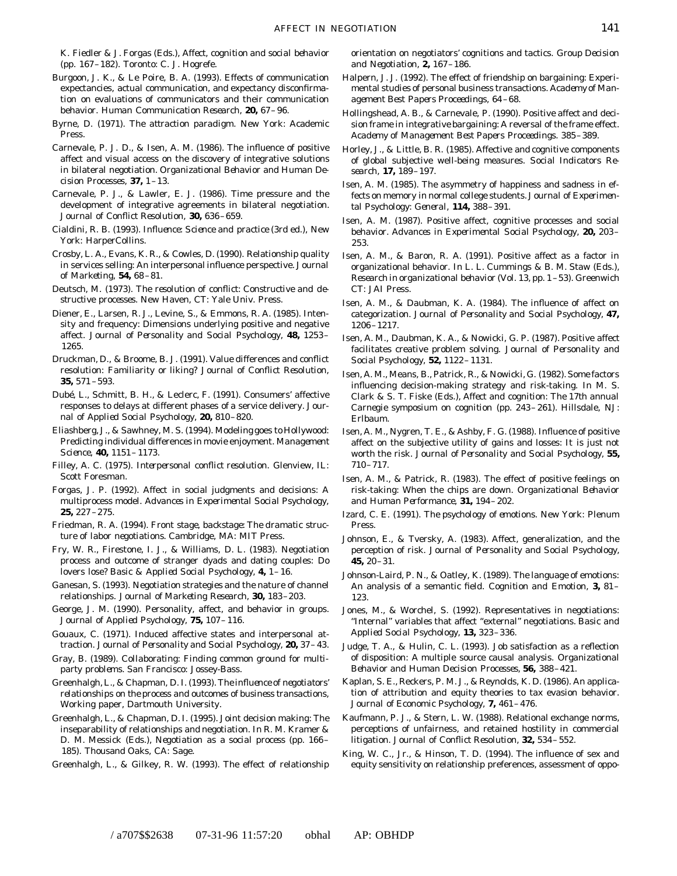K. Fiedler & J. Forgas (Eds.), *Affect, cognition and social behavior* orientation on negotiators' cognitions and tactics. *Group Decision* (pp. 167–182). Toronto: C. J. Hogrefe. *and Negotiation,* **2,** 167–186.

- Burgoon, J. K., & Le Poire, B. A. (1993). Effects of communication Halpern, J. J. (1992). The effect of friendship on bargaining: Experition on evaluations of communicators and their communication *agement Best Papers Proceedings,* 64 –68. behavior. *Human Communication Research*, 20, 67–96. Hollingshead, A. B., & Carnevale, P. (1990). Positive affect and deci-
- Press. *Academy of Management Best Papers Proceedings.* 385–389.
- Carnevale, P. J. D., & Isen, A. M. (1986). The influence of positive Horley, J., & Little, B. R. (1985). Affective and cognitive components in bilateral negotiation. *Organizational Behavior and Human De- search,* **17,** 189–197. *cision Processes,* **37,** 1–13. Isen, A. M. (1985). The asymmetry of happiness and sadness in ef-
- development of integrative agreements in bilateral negotiation. *tal Psychology: General,* **114,** 388–391.
- York: HarperCollins. 253.
- Crosby, L. A., Evans, K. R., & Cowles, D. (1990). Relationship quality Isen, A. M., & Baron, R. A. (1991). Positive affect as a factor in in services selling: An interpersonal influence perspective. Journal organizational
- Deutsch, M. (1973). *The resolution of conflict: Constructive and de-* CT: JAI Press. *structive processes.* New Haven, CT: Yale Univ. Press. Isen, A. M., & Daubman, K. A. (1984). The influence of affect on
- sity and frequency: Dimensions underlying positive and negative 1206–1217. affect. *Journal of Personality and Social Psychology,* **48,** 1253– Isen, A. M., Daubman, K. A., & Nowicki, G. P. (1987). Positive affect
- Druckman, D., & Broome, B. J. (1991). Value differences and conflict *Social Psychology,* **52,** 1122–1131.
- *nal of Applied Social Psychology,* **20,** 810–820. Erlbaum.
- Eliashberg, J., & Sawhney, M. S. (1994). Modeling goes to Hollywood: Isen, A. M., Nygren, T. E., & Ashby, F. G. (1988). Influence of positive Predicting individual differences in movie enjoyment. *Management* affect on the
- Filley, A. C. (1975). *Interpersonal conflict resolution.* Glenview, IL: 710-717.
- multiprocess model. *Advances in Experimental Social Psychology, and Human Performance,* **31,** 194–202. **25,** 227 –275. Izard, C. E. (1991). *The psychology of emotions.* New York: Plenum
- Friedman, R. A. (1994). *Front stage, backstage: The dramatic struc-* Press.
- process and outcome of stranger dyads and dating couples: Do **45,** 20–31.
- relationships. *Journal of Marketing Research,* **30,** 183–203. 123.
- 
- Gouaux, C. (1971). Induced affective states and interpersonal at- *Applied Social Psychology,* **13,** 323–336. traction. *Journal of Personality and Social Psychology,* **20,** 37–43. Judge, T. A., & Hulin, C. L. (1993). Job satisfaction as a reflection
- *party problems.* San Francisco: Jossey-Bass. *Behavior and Human Decision Processes,* **56,** 388–421.
- Greenhalgh, L., & Chapman, D. I. (1993).*The influence of negotiators'* Kaplan, S. E., Reckers, P. M. J., & Reynolds, K. D. (1986). An applica-Working paper, Dartmouth University. *Journal of Economic Psychology,* **7,** 461–476.
- D. M. Messick (Eds.), *Negotiation as a social process* (pp. 166– litigation. *Journal of Conflict Resolution,* **32,** 534–552.
- 

- expectancies, actual communication, and expectancy disconfirma- mental studies of personal business transactions. *Academy of Man-*
- Byrne, D. (1971). *The attraction paradigm.* New York: Academic sion frame in integrative bargaining: A reversal of the frame effect.
	- affect and visual access on the discovery of integrative solutions of global subjective well-being measures. *Social Indicators Re-*
- Carnevale, P. J., & Lawler, E. J. (1986). Time pressure and the fects on memory in normal college students. *Journal of Experimen-*
- *Journal of Conflict Resolution,* **30,** 636–659. Isen, A. M. (1987). Positive affect, cognitive processes and social behavior. Advances in Experimental Social Psychology, 20, 203–
	- in services selling: An interpersonal influence perspective. *Journal* organizational behavior. In L. L. Cummings & B. M. Staw (Eds.), *of Marketing,* **54,** 68 –81. *Research in organizational behavior* (Vol. 13, pp. 1–53). Greenwich
- Diener, E., Larsen, R. J., Levine, S., & Emmons, R. A. (1985). Inten- categorization. *Journal of Personality and Social Psychology,* **47,**
	- facilitates creative problem solving. *Journal of Personality and*
- resolution: Familiarity or liking? Journal of Conflict Resolution,<br>35, 571–593. Isen, A. M., Means, B., Patrick, R., & Nowicki, G. (1982). Some factors<br>1991). Consumers' affective Clark & S. T. Fiske (Eds.). Affect and cog ubé, L., Schmitt, B. H., & Leclerc, F. (1991). Consumers' affective Clark & S. T. Fiske (Eds.), *Affect and cognition: The 17th annual* responses to delays at different phases of a service delivery. Jour-<br>Carnegie symposiu Carnegie symposium on cognition (pp. 243–261). Hillsdale, NJ:
	- Predicting individual differences in movie enjoyment. *Management* affect on the subjective utility of gains and losses: It is just not *Science,* **40,** 1151–1173. worth the risk. *Journal of Personality and Social Psychology,* **55,**
- Scott Foresman. Scott Foresman. Isen, A. M., & Patrick, R. (1983). The effect of positive feelings on Forgas, J. P. (1992). Affect in social judgments and decisions: A risk-taking: When the chips are down. *Organizational Behavior*
	-
- *ture of labor negotiations.* Cambridge, MA: MIT Press. Johnson, E., & Tversky, A. (1983). Affect, generalization, and the Fry, W. R., Firestone, I. J., & Williams, D. L. (1983). Negotiation perception of risk. *Journal of Personality and Social Psychology,*
- lovers lose? *Basic & Applied Social Psychology,* **4,** 1–16. Johnson-Laird, P. N., & Oatley, K. (1989). The language of emotions: An analysis of a semantic field. *Cognition and Emotion*, 3, 81-
- George, J. M. (1990). Personality, affect, and behavior in groups. Jones, M., & Worchel, S. (1992). Representatives in negotiations: *Journal of Applied Psychology,* **75,** 107–116. ''Internal'' variables that affect ''external'' negotiations. *Basic and*
- Gray, B. (1989). *Collaborating: Finding common ground for multi-* of disposition: A multiple source causal analysis. *Organizational*
	- *relationships on the process and outcomes of business transactions,* tion of attribution and equity theories to tax evasion behavior.
- Greenhalgh, L., & Chapman, D. I. (1995). Joint decision making: The Kaufmann, P. J., & Stern, L. W. (1988). Relational exchange norms, inseparability of relationships and negotiation. In R. M. Kramer & perceptions of unfairness, and retained hostility in commercial
- 185). Thousand Oaks, CA: Sage. King, W. C., Jr., & Hinson, T. D. (1994). The influence of sex and<br>Greenhalgh, L., & Gilkey, R. W. (1993). The effect of relationship equity sensitivity on relationship preferences, assessmen equity sensitivity on relationship preferences, assessment of oppo-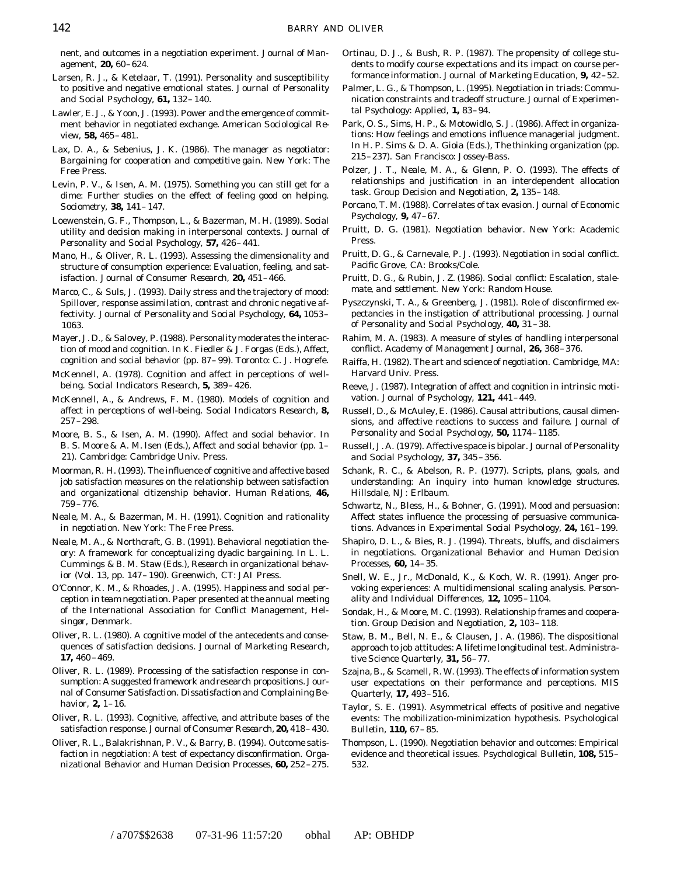- 
- Lawler, E. J., & Yoon, J. (1993). Power and the emergence of commit- *tal Psychology: Applied,* **1,** 83–94.
- 
- 
- *Psychology,* **9,** 47–67. Loewenstein, G. F., Thompson, L., & Bazerman, M. H. (1989). Social utility and decision making in interpersonal contexts. *Journal of* Pruitt, D. *Personality and Social Psychology*. 57–426–441 *Personality and Social Psychology,* 57, 426-441.
- structure of consumption experience: Evaluation, feeling, and sat-
- Marco, C., & Suls, J. (1993). Daily stress and the trajectory of mood: *mate, and settlement.* New York: Random House. 1063. *of Personality and Social Psychology,* **40,** 31 –38.
- tion of mood and cognition. In K. Fiedler & J. Forgas (Eds.), *Affect,* conflict. *Academy of Management Journal,* **26,** 368–376. *cognition and social behavior* (pp. 87–99). Toronto: C. J. Hogrefe. Raiffa, H. (1982). *The art and science of negotiation.* Cambridge, MA:
- McKennell, A. (1978). Cognition and affect in perceptions of well- Harvard Univ. Press.
- McKennell, A., & Andrews, F. M. (1980). Models of cognition and vation. *Journal of Psychology,* **121,** 441–449.
- Moore, B. S., & Isen, A. M. (1990). Affect and social behavior. In *Personality and Social Psychology,* **50,** 1174–1185. B. S. Moore & A. M. Isen (Eds.), *Affect and social behavior* (pp. 1– Russell, J. A. (1979). Affective space is bipolar. *Journal of Personality* 21). Cambridge: Cambridge Univ. Press. *and Social Psychology,* **37,** 345 –356.
- and organizational citizenship behavior. *Human Relations,* **46,** Hillsdale, NJ: Erlbaum.
- 
- Cummings & B. M. Staw (Eds.), *Research in organizational behavior* (Vol. 13, pp. 147-190). Greenwich, CT: JAI Press. Snell, W. E., Jr., McDonald, K., & Koch, W. R. (1991). Anger pro-
- *ception in team negotiation.* Paper presented at the annual meeting *ality and Individual Differences,* **12,** 1095–1104. of the International Association for Conflict Management, Hel-<br>singer, Denmark.<br>tion. Group Decision and Negotiation. 2, 103-118.
- Oliver, R. L. (1980). A cognitive model of the antecedents and conse- Staw, B. M., Bell, N. E., & Clausen, J. A. (1986). The dispositional **17,** 460 –469. *tive Science Quarterly,* **31,** 56–77.
- Oliver, R. L. (1989). Processing of the satisfaction response in con- Szajna, B., & Scamell, R. W. (1993). The effects of information system *nal of Consumer Satisfaction. Dissatisfaction and Complaining Be- Quarterly,* **17,** 493–516. *havior,* **2,** 1–16. Taylor, S. E. (1991). Asymmetrical effects of positive and negative
- Oliver, R. L. (1993). Cognitive, affective, and attribute bases of the events: The mobilization-minimization hypothesis. *Psychological* satisfaction response. *Journal of Consumer Research,* **20,** 418–430. *Bulletin,* **110,** 67–85.
- *nizational Behavior and Human Decision Processes,* **60,** 252 –275. 532.
- nent, and outcomes in a negotiation experiment. *Journal of Man-* Ortinau, D. J., & Bush, R. P. (1987). The propensity of college stu*agement,* **20,** 60–624. dents to modify course expectations and its impact on course per-Larsen, R. J., & Ketelaar, T. (1991). Personality and susceptibility formance information. *Journal of Marketing Education,* **9,** 42–52.
	- to positive and negative emotional states. *Journal of Personality* Palmer, L. G., & Thompson, L. (1995). Negotiation in triads: Commu*and Social Psychology,* **61,** 132–140. nication constraints and tradeoff structure. *Journal of Experimen-*
- ment behavior in negotiated exchange. *American Sociological Re-* Park, O. S., Sims, H. P., & Motowidlo, S. J. (1986). Affect in organiza*view*, 58, 465–481. Lax, D. A., & Sebenius, J. K. (1986). The manager as negotiator: In H. P. Sims & D. A. Gioia (Eds.), The thinking organization (pp.<br>Bargaining for cooperation and competitive gain. New York: The 215-237). San Francisco: Jo
- Free Press. The effects of the Press. The effects of the Press. The effects of  $P$  and  $P$  and  $P$  and  $P$  and  $P$  and  $P$  and  $P$  and  $P$  and  $P$  and  $P$  and  $P$  and  $P$  and  $P$  and  $P$  and  $P$  and  $P$  and  $P$  and  $P$  and Levin, P. V., & Isen, A. M. (1975). Something you can still get for a<br>dime: Further studies on the effect of feeling good on helping. task. *Group Decision and Negotiation*, 2, 135-148.
	- *Sociometry,* **38,** 141–147. Porcano, T. M. (1988). Correlates of tax evasion. *Journal of Economic*<br>
	Porcano, T. M. (1989). Correlates of tax evasion. *Journal of Economic* 
		-
- Mano, H., & Oliver, R. L. (1993). Assessing the dimensionality and Pruitt, D. G., & Carnevale, P. J. (1993). *Negotiation in social conflict.*
	- isfaction. *Journal of Consumer Research,* **20,** 451–466. Pruitt, D. G., & Rubin, J. Z. (1986). *Social conflict: Escalation, stale-*
	- Spillover, response assimilation, contrast and chronic negative af- Pyszczynski, T. A., & Greenberg, J. (1981). Role of disconfirmed exfectivity. *Journal of Personality and Social Psychology,* **64,** 1053– pectancies in the instigation of attributional processing. *Journal*
- Mayer, J. D., & Salovey, P. (1988). Personality moderates the interac- Rahim, M. A. (1983). A measure of styles of handling interpersonal
	-
	- being. *Social Indicators Research,* **5,** 389–426. Reeve, J. (1987). Integration of affect and cognition in intrinsic moti-
	- affect in perceptions of well-being. *Social Indicators Research,* **8,** Russell, D., & McAuley, E. (1986). Causal attributions, causal dimen-257 –298. sions, and affective reactions to success and failure. *Journal of*
		-
- Moorman, R. H. (1993). The influence of cognitive and affective based Schank, R. C., & Abelson, R. P. (1977). *Scripts, plans, goals, and* job satisfaction measures on the relationship between satisfaction *understanding: An inquiry into human knowledge structures.*
- 759 –776. Schwartz, N., Bless, H., & Bohner, G. (1991). Mood and persuasion: Neale, M. A., & Bazerman, M. H. (1991). *Cognition and rationality* Affect states influence the processing of persuasive communica*in negotiation.* New York: The Free Press. tions. *Advances in Experimental Social Psychology,* **24,** 161–199.
- Neale, M. A., & Northcraft, G. B. (1991). Behavioral negotiation the- Shapiro, D. L., & Bies, R. J. (1994). Threats, bluffs, and disclaimers ory: A framework for conceptualizing dyadic bargaining. In L. L. in negotiations. *Organizational Behavior and Human Decision*<br>Cummings & B. M. Staw (Eds.), *Research in organizational behav-* Processes, 60, 14-35.
- O'Connor, K. M., & Rhoades, J. A. (1995). *Happiness and social per-* voking experiences: A multidimensional scaling analysis. *Person*
	- tion. *Group Decision and Negotiation*, 2, 103-118.
	- quences of satisfaction decisions. *Journal of Marketing Research,* approach to job attitudes: A lifetime longitudinal test. *Administra-*
	- sumption: A suggested framework and research propositions. *Jour-* user expectations on their performance and perceptions. *MIS*
		-
- Oliver, R. L., Balakrishnan, P. V., & Barry, B. (1994). Outcome satis- Thompson, L. (1990). Negotiation behavior and outcomes: Empirical faction in negotiation: A test of expectancy disconfirmation. *Orga-* evidence and theoretical issues. *Psychological Bulletin,* **108,** 515–